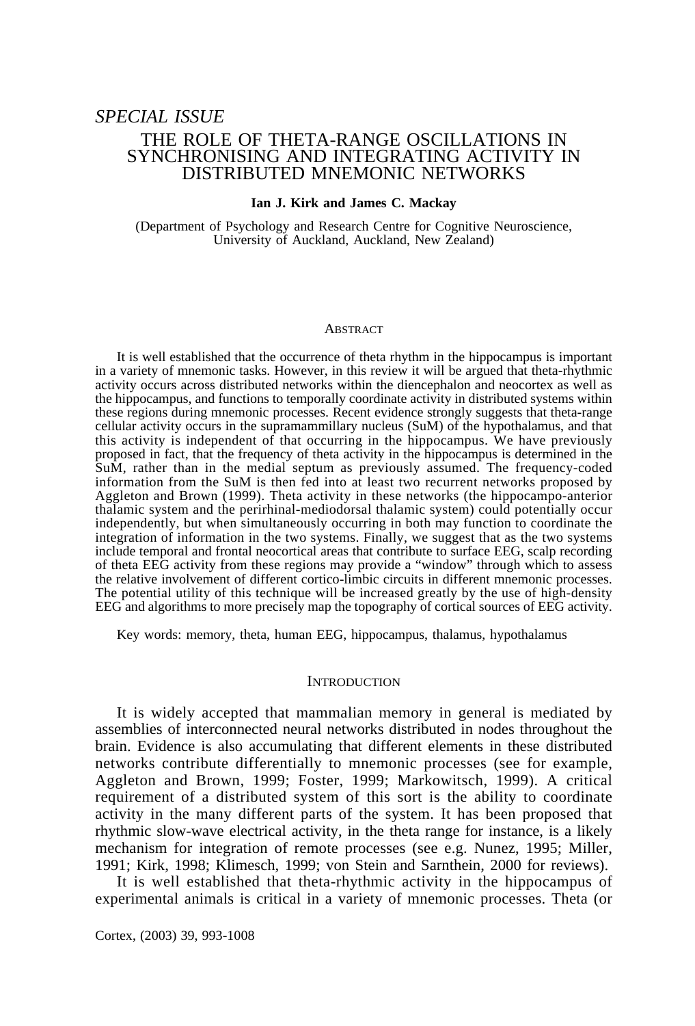# *SPECIAL ISSUE* THE ROLE OF THETA-RANGE OSCILLATIONS IN SYNCHRONISING AND INTEGRATING ACTIVITY IN DISTRIBUTED MNEMONIC NETWORKS

## **Ian J. Kirk and James C. Mackay**

(Department of Psychology and Research Centre for Cognitive Neuroscience, University of Auckland, Auckland, New Zealand)

#### **ABSTRACT**

It is well established that the occurrence of theta rhythm in the hippocampus is important in a variety of mnemonic tasks. However, in this review it will be argued that theta-rhythmic activity occurs across distributed networks within the diencephalon and neocortex as well as the hippocampus, and functions to temporally coordinate activity in distributed systems within these regions during mnemonic processes. Recent evidence strongly suggests that theta-range cellular activity occurs in the supramammillary nucleus (SuM) of the hypothalamus, and that this activity is independent of that occurring in the hippocampus. We have previously proposed in fact, that the frequency of theta activity in the hippocampus is determined in the SuM, rather than in the medial septum as previously assumed. The frequency-coded information from the SuM is then fed into at least two recurrent networks proposed by Aggleton and Brown (1999). Theta activity in these networks (the hippocampo-anterior thalamic system and the perirhinal-mediodorsal thalamic system) could potentially occur independently, but when simultaneously occurring in both may function to coordinate the integration of information in the two systems. Finally, we suggest that as the two systems include temporal and frontal neocortical areas that contribute to surface EEG, scalp recording of theta EEG activity from these regions may provide a "window" through which to assess the relative involvement of different cortico-limbic circuits in different mnemonic processes. The potential utility of this technique will be increased greatly by the use of high-density EEG and algorithms to more precisely map the topography of cortical sources of EEG activity.

Key words: memory, theta, human EEG, hippocampus, thalamus, hypothalamus

## **INTRODUCTION**

It is widely accepted that mammalian memory in general is mediated by assemblies of interconnected neural networks distributed in nodes throughout the brain. Evidence is also accumulating that different elements in these distributed networks contribute differentially to mnemonic processes (see for example, Aggleton and Brown, 1999; Foster, 1999; Markowitsch, 1999). A critical requirement of a distributed system of this sort is the ability to coordinate activity in the many different parts of the system. It has been proposed that rhythmic slow-wave electrical activity, in the theta range for instance, is a likely mechanism for integration of remote processes (see e.g. Nunez, 1995; Miller, 1991; Kirk, 1998; Klimesch, 1999; von Stein and Sarnthein, 2000 for reviews).

It is well established that theta-rhythmic activity in the hippocampus of experimental animals is critical in a variety of mnemonic processes. Theta (or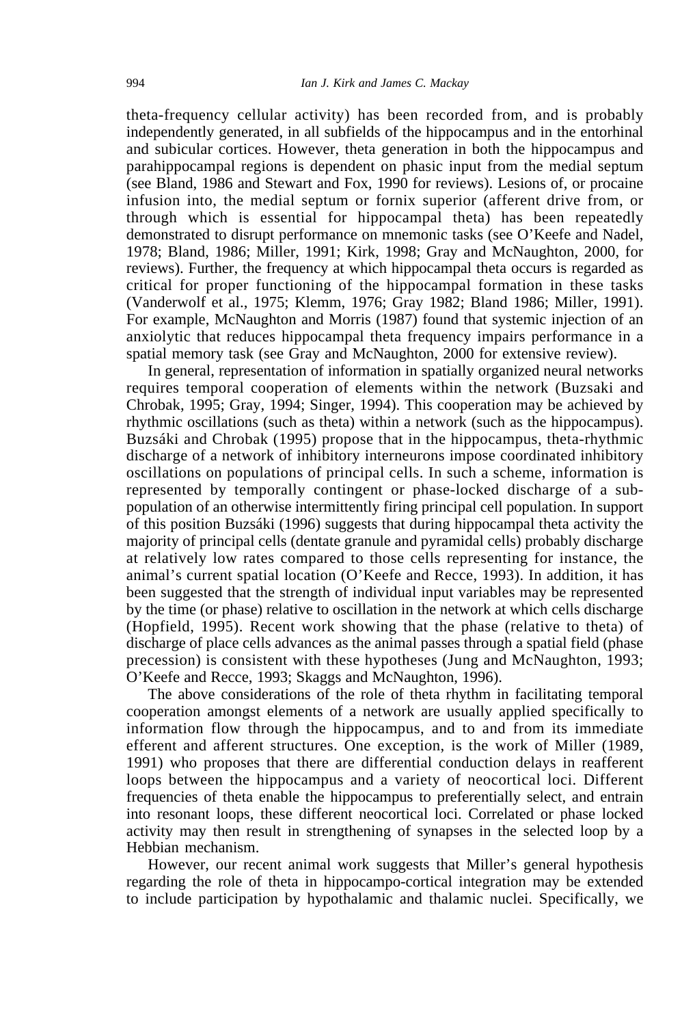theta-frequency cellular activity) has been recorded from, and is probably independently generated, in all subfields of the hippocampus and in the entorhinal and subicular cortices. However, theta generation in both the hippocampus and parahippocampal regions is dependent on phasic input from the medial septum (see Bland, 1986 and Stewart and Fox, 1990 for reviews). Lesions of, or procaine infusion into, the medial septum or fornix superior (afferent drive from, or through which is essential for hippocampal theta) has been repeatedly demonstrated to disrupt performance on mnemonic tasks (see O'Keefe and Nadel, 1978; Bland, 1986; Miller, 1991; Kirk, 1998; Gray and McNaughton, 2000, for reviews). Further, the frequency at which hippocampal theta occurs is regarded as critical for proper functioning of the hippocampal formation in these tasks (Vanderwolf et al., 1975; Klemm, 1976; Gray 1982; Bland 1986; Miller, 1991). For example, McNaughton and Morris (1987) found that systemic injection of an anxiolytic that reduces hippocampal theta frequency impairs performance in a spatial memory task (see Gray and McNaughton, 2000 for extensive review).

In general, representation of information in spatially organized neural networks requires temporal cooperation of elements within the network (Buzsaki and Chrobak, 1995; Gray, 1994; Singer, 1994). This cooperation may be achieved by rhythmic oscillations (such as theta) within a network (such as the hippocampus). Buzsáki and Chrobak (1995) propose that in the hippocampus, theta-rhythmic discharge of a network of inhibitory interneurons impose coordinated inhibitory oscillations on populations of principal cells. In such a scheme, information is represented by temporally contingent or phase-locked discharge of a subpopulation of an otherwise intermittently firing principal cell population. In support of this position Buzsáki (1996) suggests that during hippocampal theta activity the majority of principal cells (dentate granule and pyramidal cells) probably discharge at relatively low rates compared to those cells representing for instance, the animal's current spatial location (O'Keefe and Recce, 1993). In addition, it has been suggested that the strength of individual input variables may be represented by the time (or phase) relative to oscillation in the network at which cells discharge (Hopfield, 1995). Recent work showing that the phase (relative to theta) of discharge of place cells advances as the animal passes through a spatial field (phase precession) is consistent with these hypotheses (Jung and McNaughton, 1993; O'Keefe and Recce, 1993; Skaggs and McNaughton, 1996).

The above considerations of the role of theta rhythm in facilitating temporal cooperation amongst elements of a network are usually applied specifically to information flow through the hippocampus, and to and from its immediate efferent and afferent structures. One exception, is the work of Miller (1989, 1991) who proposes that there are differential conduction delays in reafferent loops between the hippocampus and a variety of neocortical loci. Different frequencies of theta enable the hippocampus to preferentially select, and entrain into resonant loops, these different neocortical loci. Correlated or phase locked activity may then result in strengthening of synapses in the selected loop by a Hebbian mechanism.

However, our recent animal work suggests that Miller's general hypothesis regarding the role of theta in hippocampo-cortical integration may be extended to include participation by hypothalamic and thalamic nuclei. Specifically, we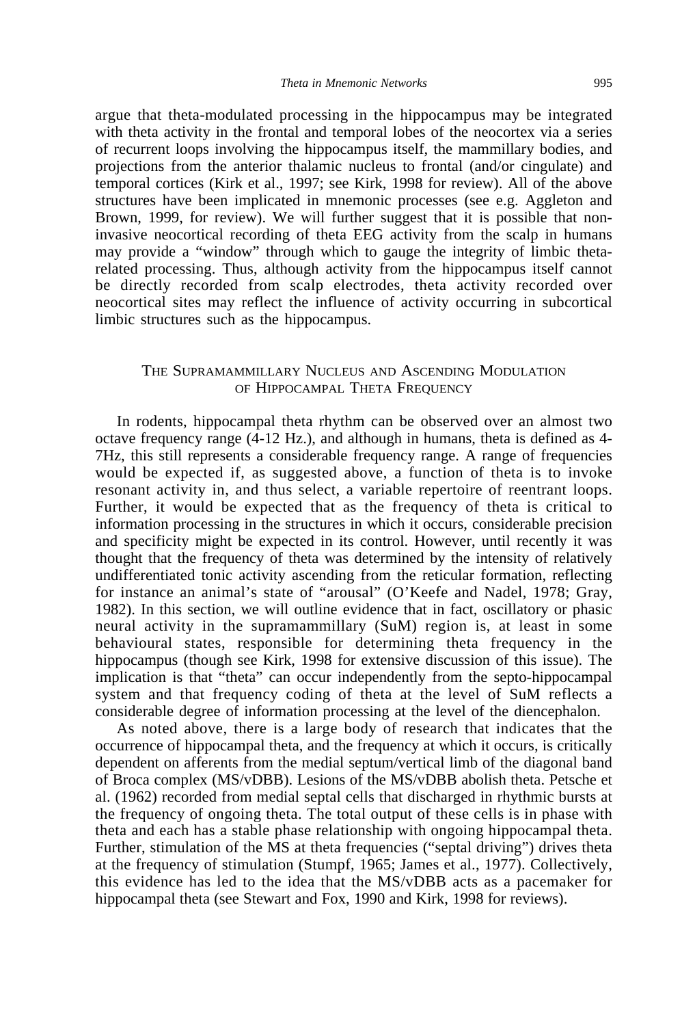argue that theta-modulated processing in the hippocampus may be integrated with theta activity in the frontal and temporal lobes of the neocortex via a series of recurrent loops involving the hippocampus itself, the mammillary bodies, and projections from the anterior thalamic nucleus to frontal (and/or cingulate) and temporal cortices (Kirk et al., 1997; see Kirk, 1998 for review). All of the above structures have been implicated in mnemonic processes (see e.g. Aggleton and Brown, 1999, for review). We will further suggest that it is possible that noninvasive neocortical recording of theta EEG activity from the scalp in humans may provide a "window" through which to gauge the integrity of limbic thetarelated processing. Thus, although activity from the hippocampus itself cannot be directly recorded from scalp electrodes, theta activity recorded over neocortical sites may reflect the influence of activity occurring in subcortical limbic structures such as the hippocampus.

# THE SUPRAMAMMILLARY NUCLEUS AND ASCENDING MODULATION OF HIPPOCAMPAL THETA FREQUENCY

In rodents, hippocampal theta rhythm can be observed over an almost two octave frequency range (4-12 Hz.), and although in humans, theta is defined as 4- 7Hz, this still represents a considerable frequency range. A range of frequencies would be expected if, as suggested above, a function of theta is to invoke resonant activity in, and thus select, a variable repertoire of reentrant loops. Further, it would be expected that as the frequency of theta is critical to information processing in the structures in which it occurs, considerable precision and specificity might be expected in its control. However, until recently it was thought that the frequency of theta was determined by the intensity of relatively undifferentiated tonic activity ascending from the reticular formation, reflecting for instance an animal's state of "arousal" (O'Keefe and Nadel, 1978; Gray, 1982). In this section, we will outline evidence that in fact, oscillatory or phasic neural activity in the supramammillary (SuM) region is, at least in some behavioural states, responsible for determining theta frequency in the hippocampus (though see Kirk, 1998 for extensive discussion of this issue). The implication is that "theta" can occur independently from the septo-hippocampal system and that frequency coding of theta at the level of SuM reflects a considerable degree of information processing at the level of the diencephalon.

As noted above, there is a large body of research that indicates that the occurrence of hippocampal theta, and the frequency at which it occurs, is critically dependent on afferents from the medial septum/vertical limb of the diagonal band of Broca complex (MS/vDBB). Lesions of the MS/vDBB abolish theta. Petsche et al. (1962) recorded from medial septal cells that discharged in rhythmic bursts at the frequency of ongoing theta. The total output of these cells is in phase with theta and each has a stable phase relationship with ongoing hippocampal theta. Further, stimulation of the MS at theta frequencies ("septal driving") drives theta at the frequency of stimulation (Stumpf, 1965; James et al., 1977). Collectively, this evidence has led to the idea that the MS/vDBB acts as a pacemaker for hippocampal theta (see Stewart and Fox, 1990 and Kirk, 1998 for reviews).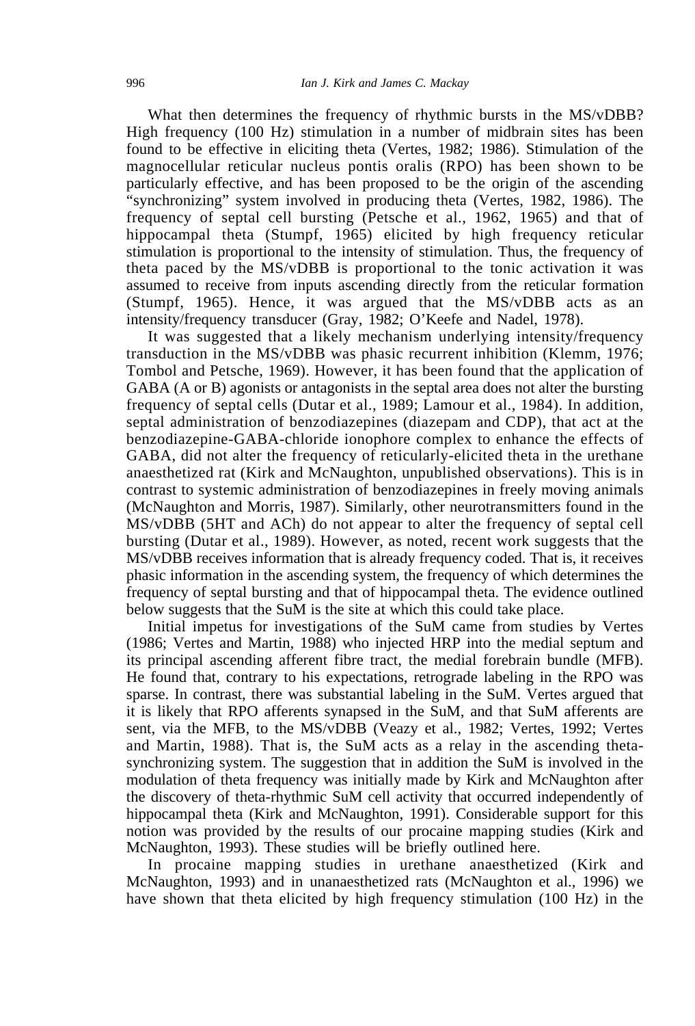What then determines the frequency of rhythmic bursts in the MS/vDBB? High frequency (100 Hz) stimulation in a number of midbrain sites has been found to be effective in eliciting theta (Vertes, 1982; 1986). Stimulation of the magnocellular reticular nucleus pontis oralis (RPO) has been shown to be particularly effective, and has been proposed to be the origin of the ascending "synchronizing" system involved in producing theta (Vertes, 1982, 1986). The frequency of septal cell bursting (Petsche et al., 1962, 1965) and that of hippocampal theta (Stumpf, 1965) elicited by high frequency reticular stimulation is proportional to the intensity of stimulation. Thus, the frequency of theta paced by the MS/vDBB is proportional to the tonic activation it was assumed to receive from inputs ascending directly from the reticular formation (Stumpf, 1965). Hence, it was argued that the MS/vDBB acts as an intensity/frequency transducer (Gray, 1982; O'Keefe and Nadel, 1978).

It was suggested that a likely mechanism underlying intensity/frequency transduction in the MS/vDBB was phasic recurrent inhibition (Klemm, 1976; Tombol and Petsche, 1969). However, it has been found that the application of GABA (A or B) agonists or antagonists in the septal area does not alter the bursting frequency of septal cells (Dutar et al., 1989; Lamour et al., 1984). In addition, septal administration of benzodiazepines (diazepam and CDP), that act at the benzodiazepine-GABA-chloride ionophore complex to enhance the effects of GABA, did not alter the frequency of reticularly-elicited theta in the urethane anaesthetized rat (Kirk and McNaughton, unpublished observations). This is in contrast to systemic administration of benzodiazepines in freely moving animals (McNaughton and Morris, 1987). Similarly, other neurotransmitters found in the MS/vDBB (5HT and ACh) do not appear to alter the frequency of septal cell bursting (Dutar et al., 1989). However, as noted, recent work suggests that the MS/vDBB receives information that is already frequency coded. That is, it receives phasic information in the ascending system, the frequency of which determines the frequency of septal bursting and that of hippocampal theta. The evidence outlined below suggests that the SuM is the site at which this could take place.

Initial impetus for investigations of the SuM came from studies by Vertes (1986; Vertes and Martin, 1988) who injected HRP into the medial septum and its principal ascending afferent fibre tract, the medial forebrain bundle (MFB). He found that, contrary to his expectations, retrograde labeling in the RPO was sparse. In contrast, there was substantial labeling in the SuM. Vertes argued that it is likely that RPO afferents synapsed in the SuM, and that SuM afferents are sent, via the MFB, to the MS/vDBB (Veazy et al., 1982; Vertes, 1992; Vertes and Martin, 1988). That is, the SuM acts as a relay in the ascending thetasynchronizing system. The suggestion that in addition the SuM is involved in the modulation of theta frequency was initially made by Kirk and McNaughton after the discovery of theta-rhythmic SuM cell activity that occurred independently of hippocampal theta (Kirk and McNaughton, 1991). Considerable support for this notion was provided by the results of our procaine mapping studies (Kirk and McNaughton, 1993). These studies will be briefly outlined here.

In procaine mapping studies in urethane anaesthetized (Kirk and McNaughton, 1993) and in unanaesthetized rats (McNaughton et al., 1996) we have shown that theta elicited by high frequency stimulation (100 Hz) in the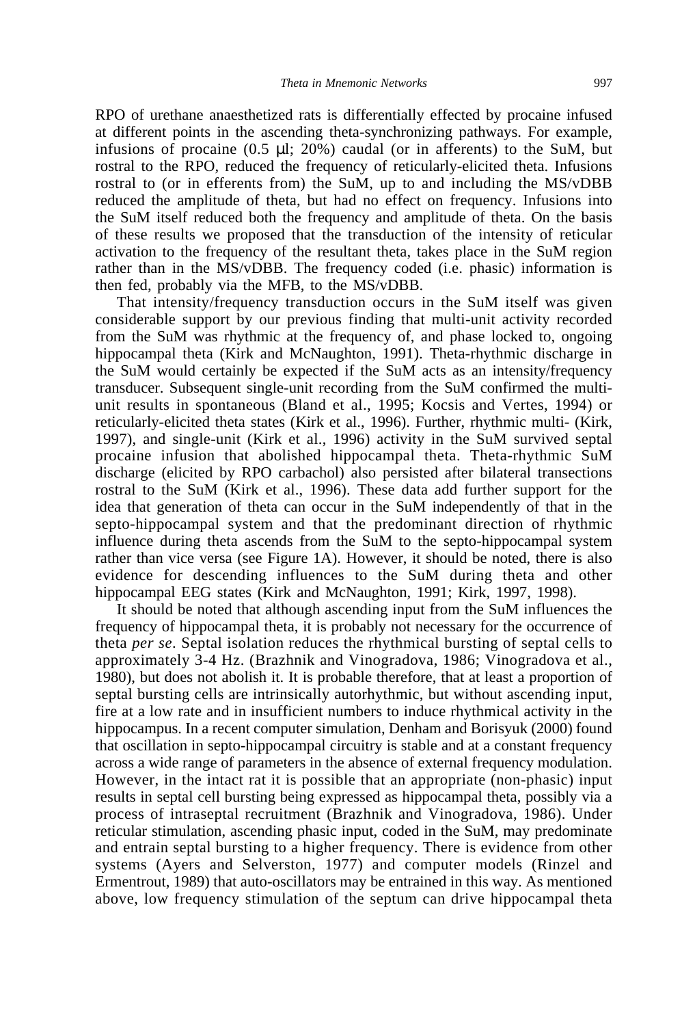RPO of urethane anaesthetized rats is differentially effected by procaine infused at different points in the ascending theta-synchronizing pathways. For example, infusions of procaine  $(0.5 \mu l; 20\%)$  caudal (or in afferents) to the SuM, but rostral to the RPO, reduced the frequency of reticularly-elicited theta. Infusions rostral to (or in efferents from) the SuM, up to and including the MS/vDBB reduced the amplitude of theta, but had no effect on frequency. Infusions into the SuM itself reduced both the frequency and amplitude of theta. On the basis of these results we proposed that the transduction of the intensity of reticular activation to the frequency of the resultant theta, takes place in the SuM region rather than in the MS/vDBB. The frequency coded (i.e. phasic) information is then fed, probably via the MFB, to the MS/vDBB.

That intensity/frequency transduction occurs in the SuM itself was given considerable support by our previous finding that multi-unit activity recorded from the SuM was rhythmic at the frequency of, and phase locked to, ongoing hippocampal theta (Kirk and McNaughton, 1991). Theta-rhythmic discharge in the SuM would certainly be expected if the SuM acts as an intensity/frequency transducer. Subsequent single-unit recording from the SuM confirmed the multiunit results in spontaneous (Bland et al., 1995; Kocsis and Vertes, 1994) or reticularly-elicited theta states (Kirk et al., 1996). Further, rhythmic multi- (Kirk, 1997), and single-unit (Kirk et al., 1996) activity in the SuM survived septal procaine infusion that abolished hippocampal theta. Theta-rhythmic SuM discharge (elicited by RPO carbachol) also persisted after bilateral transections rostral to the SuM (Kirk et al., 1996). These data add further support for the idea that generation of theta can occur in the SuM independently of that in the septo-hippocampal system and that the predominant direction of rhythmic influence during theta ascends from the SuM to the septo-hippocampal system rather than vice versa (see Figure 1A). However, it should be noted, there is also evidence for descending influences to the SuM during theta and other hippocampal EEG states (Kirk and McNaughton, 1991; Kirk, 1997, 1998).

It should be noted that although ascending input from the SuM influences the frequency of hippocampal theta, it is probably not necessary for the occurrence of theta *per se*. Septal isolation reduces the rhythmical bursting of septal cells to approximately 3-4 Hz. (Brazhnik and Vinogradova, 1986; Vinogradova et al., 1980), but does not abolish it. It is probable therefore, that at least a proportion of septal bursting cells are intrinsically autorhythmic, but without ascending input, fire at a low rate and in insufficient numbers to induce rhythmical activity in the hippocampus. In a recent computer simulation, Denham and Borisyuk (2000) found that oscillation in septo-hippocampal circuitry is stable and at a constant frequency across a wide range of parameters in the absence of external frequency modulation. However, in the intact rat it is possible that an appropriate (non-phasic) input results in septal cell bursting being expressed as hippocampal theta, possibly via a process of intraseptal recruitment (Brazhnik and Vinogradova, 1986). Under reticular stimulation, ascending phasic input, coded in the SuM, may predominate and entrain septal bursting to a higher frequency. There is evidence from other systems (Ayers and Selverston, 1977) and computer models (Rinzel and Ermentrout, 1989) that auto-oscillators may be entrained in this way. As mentioned above, low frequency stimulation of the septum can drive hippocampal theta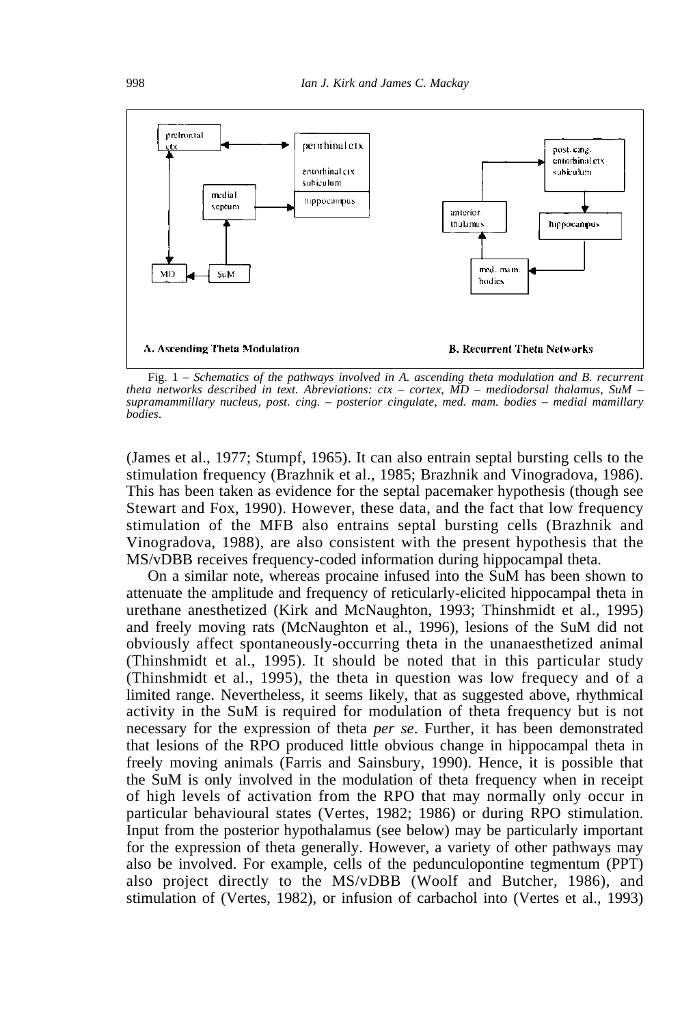

Fig. 1 – *Schematics of the pathways involved in A. ascending theta modulation and B. recurrent theta networks described in text. Abreviations: ctx – cortex, MD – mediodorsal thalamus, SuM – supramammillary nucleus, post. cing. – posterior cingulate, med. mam. bodies – medial mamillary bodies*.

(James et al., 1977; Stumpf, 1965). It can also entrain septal bursting cells to the stimulation frequency (Brazhnik et al., 1985; Brazhnik and Vinogradova, 1986). This has been taken as evidence for the septal pacemaker hypothesis (though see Stewart and Fox, 1990). However, these data, and the fact that low frequency stimulation of the MFB also entrains septal bursting cells (Brazhnik and Vinogradova, 1988), are also consistent with the present hypothesis that the MS/vDBB receives frequency-coded information during hippocampal theta.

On a similar note, whereas procaine infused into the SuM has been shown to attenuate the amplitude and frequency of reticularly-elicited hippocampal theta in urethane anesthetized (Kirk and McNaughton, 1993; Thinshmidt et al., 1995) and freely moving rats (McNaughton et al., 1996), lesions of the SuM did not obviously affect spontaneously-occurring theta in the unanaesthetized animal (Thinshmidt et al., 1995). It should be noted that in this particular study (Thinshmidt et al., 1995), the theta in question was low frequecy and of a limited range. Nevertheless, it seems likely, that as suggested above, rhythmical activity in the SuM is required for modulation of theta frequency but is not necessary for the expression of theta *per se*. Further, it has been demonstrated that lesions of the RPO produced little obvious change in hippocampal theta in freely moving animals (Farris and Sainsbury, 1990). Hence, it is possible that the SuM is only involved in the modulation of theta frequency when in receipt of high levels of activation from the RPO that may normally only occur in particular behavioural states (Vertes, 1982; 1986) or during RPO stimulation. Input from the posterior hypothalamus (see below) may be particularly important for the expression of theta generally. However, a variety of other pathways may also be involved. For example, cells of the pedunculopontine tegmentum (PPT) also project directly to the MS/vDBB (Woolf and Butcher, 1986), and stimulation of (Vertes, 1982), or infusion of carbachol into (Vertes et al., 1993)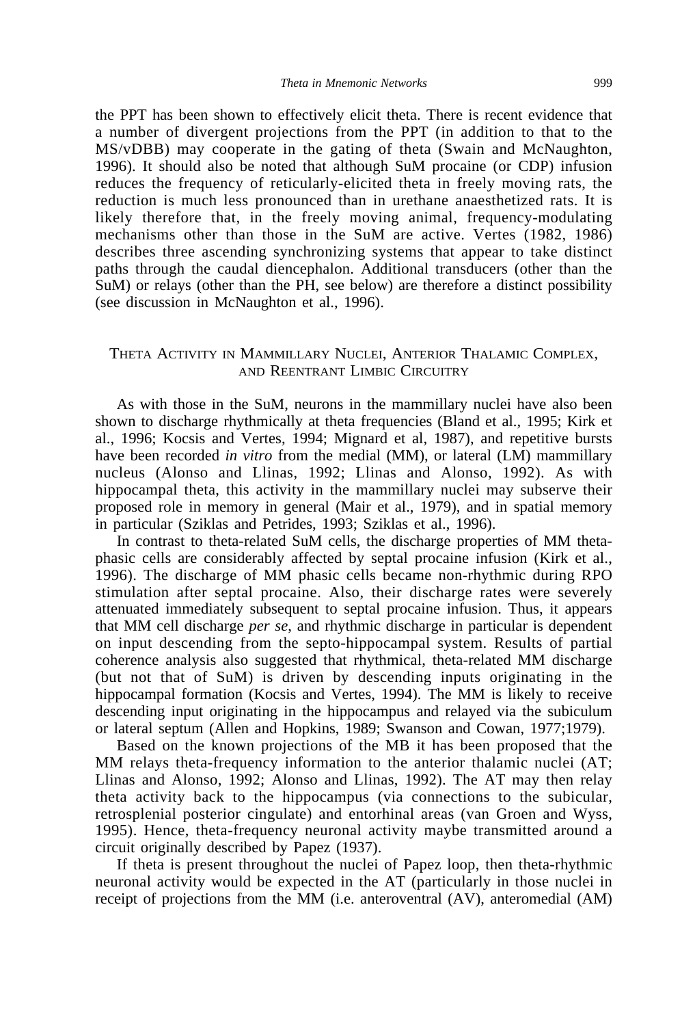the PPT has been shown to effectively elicit theta. There is recent evidence that a number of divergent projections from the PPT (in addition to that to the MS/vDBB) may cooperate in the gating of theta (Swain and McNaughton, 1996). It should also be noted that although SuM procaine (or CDP) infusion reduces the frequency of reticularly-elicited theta in freely moving rats, the reduction is much less pronounced than in urethane anaesthetized rats. It is likely therefore that, in the freely moving animal, frequency-modulating mechanisms other than those in the SuM are active. Vertes (1982, 1986) describes three ascending synchronizing systems that appear to take distinct paths through the caudal diencephalon. Additional transducers (other than the SuM) or relays (other than the PH, see below) are therefore a distinct possibility (see discussion in McNaughton et al., 1996).

# THETA ACTIVITY IN MAMMILLARY NUCLEI, ANTERIOR THALAMIC COMPLEX, AND REENTRANT LIMBIC CIRCUITRY

As with those in the SuM, neurons in the mammillary nuclei have also been shown to discharge rhythmically at theta frequencies (Bland et al., 1995; Kirk et al., 1996; Kocsis and Vertes, 1994; Mignard et al, 1987), and repetitive bursts have been recorded *in vitro* from the medial (MM), or lateral (LM) mammillary nucleus (Alonso and Llinas, 1992; Llinas and Alonso, 1992). As with hippocampal theta, this activity in the mammillary nuclei may subserve their proposed role in memory in general (Mair et al., 1979), and in spatial memory in particular (Sziklas and Petrides, 1993; Sziklas et al., 1996).

In contrast to theta-related SuM cells, the discharge properties of MM thetaphasic cells are considerably affected by septal procaine infusion (Kirk et al., 1996). The discharge of MM phasic cells became non-rhythmic during RPO stimulation after septal procaine. Also, their discharge rates were severely attenuated immediately subsequent to septal procaine infusion. Thus, it appears that MM cell discharge *per se*, and rhythmic discharge in particular is dependent on input descending from the septo-hippocampal system. Results of partial coherence analysis also suggested that rhythmical, theta-related MM discharge (but not that of SuM) is driven by descending inputs originating in the hippocampal formation (Kocsis and Vertes, 1994). The MM is likely to receive descending input originating in the hippocampus and relayed via the subiculum or lateral septum (Allen and Hopkins, 1989; Swanson and Cowan, 1977;1979).

Based on the known projections of the MB it has been proposed that the MM relays theta-frequency information to the anterior thalamic nuclei (AT; Llinas and Alonso, 1992; Alonso and Llinas, 1992). The AT may then relay theta activity back to the hippocampus (via connections to the subicular, retrosplenial posterior cingulate) and entorhinal areas (van Groen and Wyss, 1995). Hence, theta-frequency neuronal activity maybe transmitted around a circuit originally described by Papez (1937).

If theta is present throughout the nuclei of Papez loop, then theta-rhythmic neuronal activity would be expected in the AT (particularly in those nuclei in receipt of projections from the MM (i.e. anteroventral (AV), anteromedial (AM)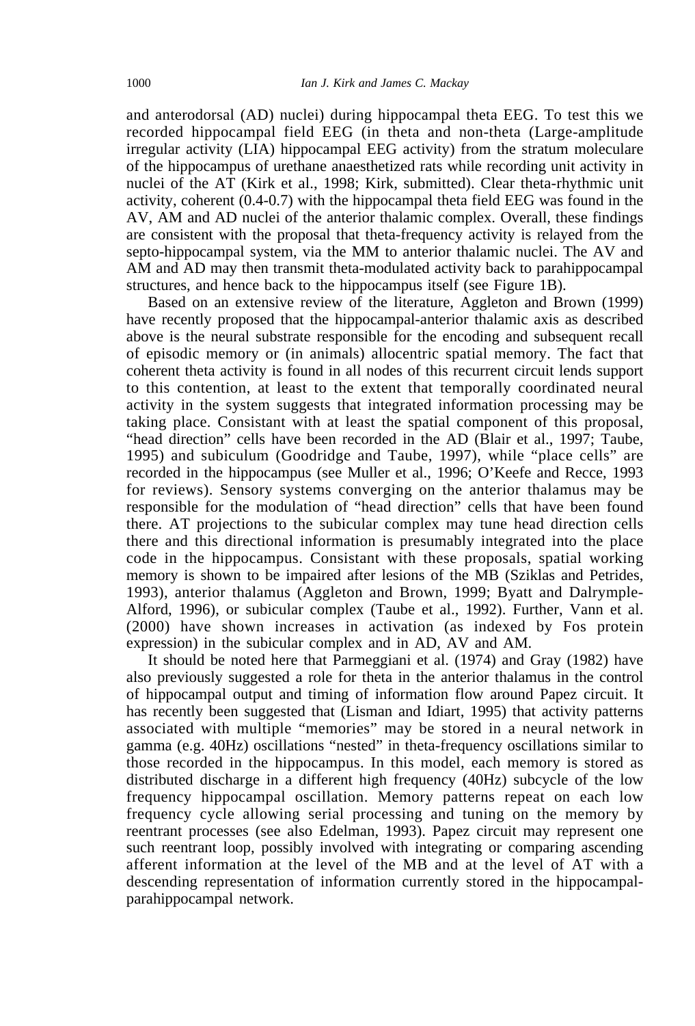and anterodorsal (AD) nuclei) during hippocampal theta EEG. To test this we recorded hippocampal field EEG (in theta and non-theta (Large-amplitude irregular activity (LIA) hippocampal EEG activity) from the stratum moleculare of the hippocampus of urethane anaesthetized rats while recording unit activity in nuclei of the AT (Kirk et al., 1998; Kirk, submitted). Clear theta-rhythmic unit activity, coherent (0.4-0.7) with the hippocampal theta field EEG was found in the AV, AM and AD nuclei of the anterior thalamic complex. Overall, these findings are consistent with the proposal that theta-frequency activity is relayed from the septo-hippocampal system, via the MM to anterior thalamic nuclei. The AV and AM and AD may then transmit theta-modulated activity back to parahippocampal structures, and hence back to the hippocampus itself (see Figure 1B).

Based on an extensive review of the literature, Aggleton and Brown (1999) have recently proposed that the hippocampal-anterior thalamic axis as described above is the neural substrate responsible for the encoding and subsequent recall of episodic memory or (in animals) allocentric spatial memory. The fact that coherent theta activity is found in all nodes of this recurrent circuit lends support to this contention, at least to the extent that temporally coordinated neural activity in the system suggests that integrated information processing may be taking place. Consistant with at least the spatial component of this proposal, "head direction" cells have been recorded in the AD (Blair et al., 1997; Taube, 1995) and subiculum (Goodridge and Taube, 1997), while "place cells" are recorded in the hippocampus (see Muller et al., 1996; O'Keefe and Recce, 1993 for reviews). Sensory systems converging on the anterior thalamus may be responsible for the modulation of "head direction" cells that have been found there. AT projections to the subicular complex may tune head direction cells there and this directional information is presumably integrated into the place code in the hippocampus. Consistant with these proposals, spatial working memory is shown to be impaired after lesions of the MB (Sziklas and Petrides, 1993), anterior thalamus (Aggleton and Brown, 1999; Byatt and Dalrymple-Alford, 1996), or subicular complex (Taube et al., 1992). Further, Vann et al. (2000) have shown increases in activation (as indexed by Fos protein expression) in the subicular complex and in AD, AV and AM.

It should be noted here that Parmeggiani et al. (1974) and Gray (1982) have also previously suggested a role for theta in the anterior thalamus in the control of hippocampal output and timing of information flow around Papez circuit. It has recently been suggested that (Lisman and Idiart, 1995) that activity patterns associated with multiple "memories" may be stored in a neural network in gamma (e.g. 40Hz) oscillations "nested" in theta-frequency oscillations similar to those recorded in the hippocampus. In this model, each memory is stored as distributed discharge in a different high frequency (40Hz) subcycle of the low frequency hippocampal oscillation. Memory patterns repeat on each low frequency cycle allowing serial processing and tuning on the memory by reentrant processes (see also Edelman, 1993). Papez circuit may represent one such reentrant loop, possibly involved with integrating or comparing ascending afferent information at the level of the MB and at the level of AT with a descending representation of information currently stored in the hippocampalparahippocampal network.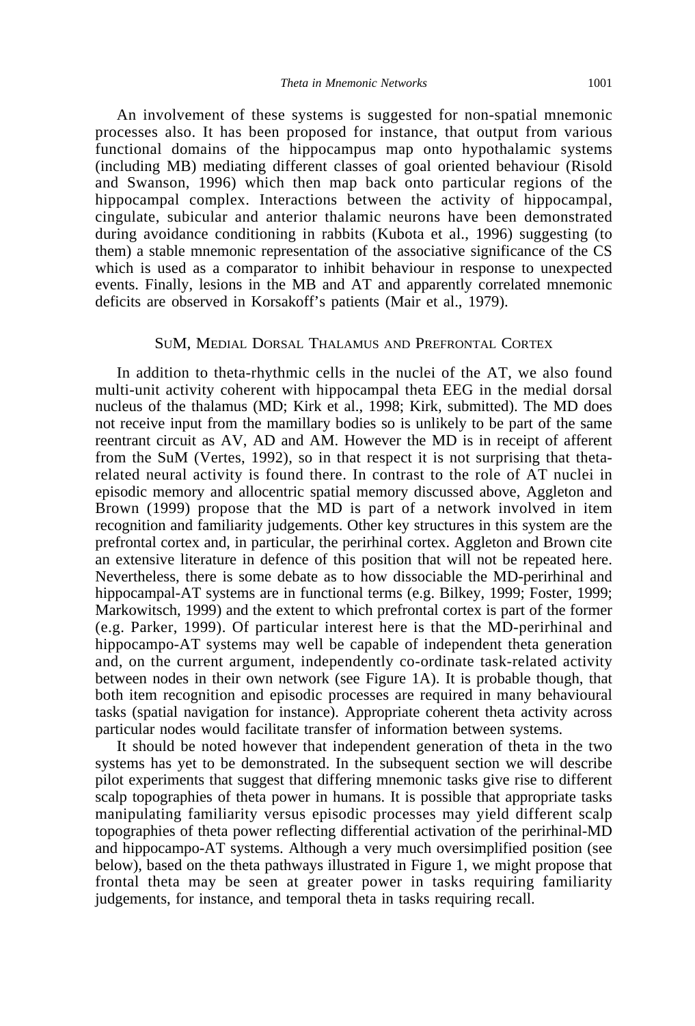An involvement of these systems is suggested for non-spatial mnemonic processes also. It has been proposed for instance, that output from various functional domains of the hippocampus map onto hypothalamic systems (including MB) mediating different classes of goal oriented behaviour (Risold and Swanson, 1996) which then map back onto particular regions of the hippocampal complex. Interactions between the activity of hippocampal, cingulate, subicular and anterior thalamic neurons have been demonstrated during avoidance conditioning in rabbits (Kubota et al., 1996) suggesting (to them) a stable mnemonic representation of the associative significance of the CS which is used as a comparator to inhibit behaviour in response to unexpected events. Finally, lesions in the MB and AT and apparently correlated mnemonic deficits are observed in Korsakoff's patients (Mair et al., 1979).

# SUM, MEDIAL DORSAL THALAMUS AND PREFRONTAL CORTEX

In addition to theta-rhythmic cells in the nuclei of the AT, we also found multi-unit activity coherent with hippocampal theta EEG in the medial dorsal nucleus of the thalamus (MD; Kirk et al., 1998; Kirk, submitted). The MD does not receive input from the mamillary bodies so is unlikely to be part of the same reentrant circuit as AV, AD and AM. However the MD is in receipt of afferent from the SuM (Vertes, 1992), so in that respect it is not surprising that thetarelated neural activity is found there. In contrast to the role of AT nuclei in episodic memory and allocentric spatial memory discussed above, Aggleton and Brown (1999) propose that the MD is part of a network involved in item recognition and familiarity judgements. Other key structures in this system are the prefrontal cortex and, in particular, the perirhinal cortex. Aggleton and Brown cite an extensive literature in defence of this position that will not be repeated here. Nevertheless, there is some debate as to how dissociable the MD-perirhinal and hippocampal-AT systems are in functional terms (e.g. Bilkey, 1999; Foster, 1999; Markowitsch, 1999) and the extent to which prefrontal cortex is part of the former (e.g. Parker, 1999). Of particular interest here is that the MD-perirhinal and hippocampo-AT systems may well be capable of independent theta generation and, on the current argument, independently co-ordinate task-related activity between nodes in their own network (see Figure 1A). It is probable though, that both item recognition and episodic processes are required in many behavioural tasks (spatial navigation for instance). Appropriate coherent theta activity across particular nodes would facilitate transfer of information between systems.

It should be noted however that independent generation of theta in the two systems has yet to be demonstrated. In the subsequent section we will describe pilot experiments that suggest that differing mnemonic tasks give rise to different scalp topographies of theta power in humans. It is possible that appropriate tasks manipulating familiarity versus episodic processes may yield different scalp topographies of theta power reflecting differential activation of the perirhinal-MD and hippocampo-AT systems. Although a very much oversimplified position (see below), based on the theta pathways illustrated in Figure 1, we might propose that frontal theta may be seen at greater power in tasks requiring familiarity judgements, for instance, and temporal theta in tasks requiring recall.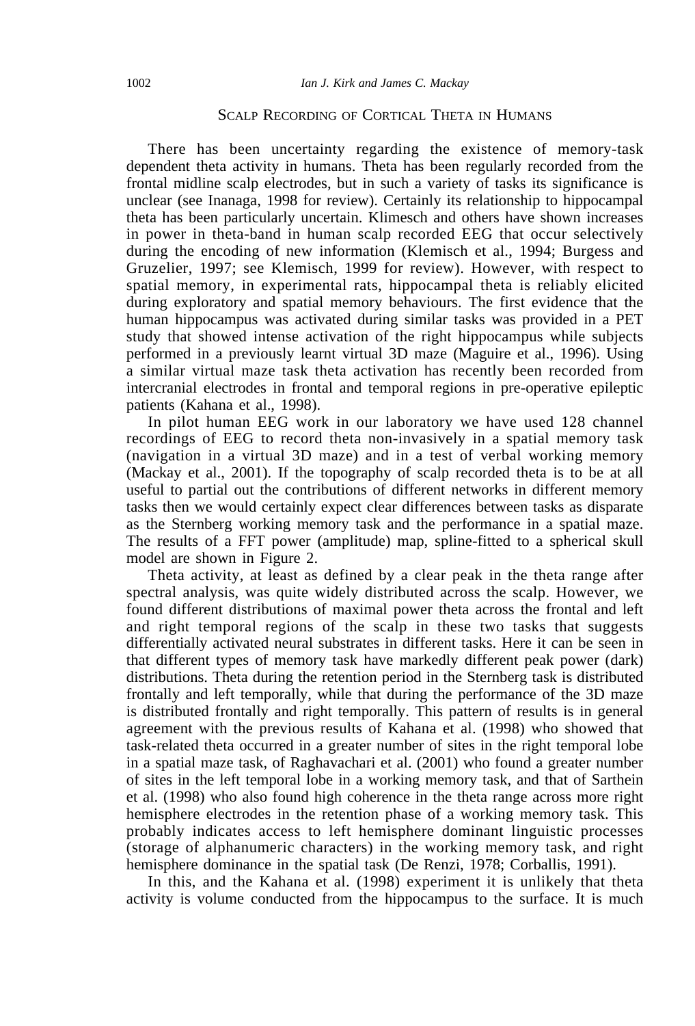## SCALP RECORDING OF CORTICAL THETA IN HUMANS

There has been uncertainty regarding the existence of memory-task dependent theta activity in humans. Theta has been regularly recorded from the frontal midline scalp electrodes, but in such a variety of tasks its significance is unclear (see Inanaga, 1998 for review). Certainly its relationship to hippocampal theta has been particularly uncertain. Klimesch and others have shown increases in power in theta-band in human scalp recorded EEG that occur selectively during the encoding of new information (Klemisch et al., 1994; Burgess and Gruzelier, 1997; see Klemisch, 1999 for review). However, with respect to spatial memory, in experimental rats, hippocampal theta is reliably elicited during exploratory and spatial memory behaviours. The first evidence that the human hippocampus was activated during similar tasks was provided in a PET study that showed intense activation of the right hippocampus while subjects performed in a previously learnt virtual 3D maze (Maguire et al., 1996). Using a similar virtual maze task theta activation has recently been recorded from intercranial electrodes in frontal and temporal regions in pre-operative epileptic patients (Kahana et al., 1998).

In pilot human EEG work in our laboratory we have used 128 channel recordings of EEG to record theta non-invasively in a spatial memory task (navigation in a virtual 3D maze) and in a test of verbal working memory (Mackay et al., 2001). If the topography of scalp recorded theta is to be at all useful to partial out the contributions of different networks in different memory tasks then we would certainly expect clear differences between tasks as disparate as the Sternberg working memory task and the performance in a spatial maze. The results of a FFT power (amplitude) map, spline-fitted to a spherical skull model are shown in Figure 2.

Theta activity, at least as defined by a clear peak in the theta range after spectral analysis, was quite widely distributed across the scalp. However, we found different distributions of maximal power theta across the frontal and left and right temporal regions of the scalp in these two tasks that suggests differentially activated neural substrates in different tasks. Here it can be seen in that different types of memory task have markedly different peak power (dark) distributions. Theta during the retention period in the Sternberg task is distributed frontally and left temporally, while that during the performance of the 3D maze is distributed frontally and right temporally. This pattern of results is in general agreement with the previous results of Kahana et al. (1998) who showed that task-related theta occurred in a greater number of sites in the right temporal lobe in a spatial maze task, of Raghavachari et al. (2001) who found a greater number of sites in the left temporal lobe in a working memory task, and that of Sarthein et al. (1998) who also found high coherence in the theta range across more right hemisphere electrodes in the retention phase of a working memory task. This probably indicates access to left hemisphere dominant linguistic processes (storage of alphanumeric characters) in the working memory task, and right hemisphere dominance in the spatial task (De Renzi, 1978; Corballis, 1991).

In this, and the Kahana et al. (1998) experiment it is unlikely that theta activity is volume conducted from the hippocampus to the surface. It is much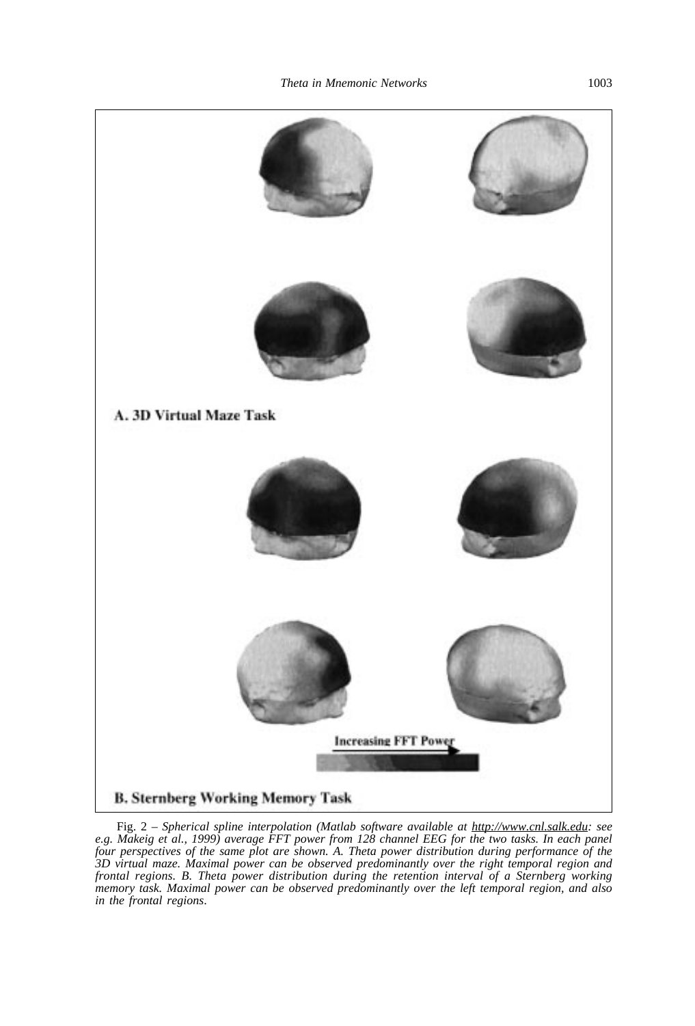

Fig. 2 – *Spherical spline interpolation (Matlab software available at http://www.cnl.salk.edu: see e.g. Makeig et al., 1999) average FFT power from 128 channel EEG for the two tasks. In each panel four perspectives of the same plot are shown. A. Theta power distribution during performance of the 3D virtual maze. Maximal power can be observed predominantly over the right temporal region and frontal regions. B. Theta power distribution during the retention interval of a Sternberg working memory task. Maximal power can be observed predominantly over the left temporal region, and also in the frontal regions*.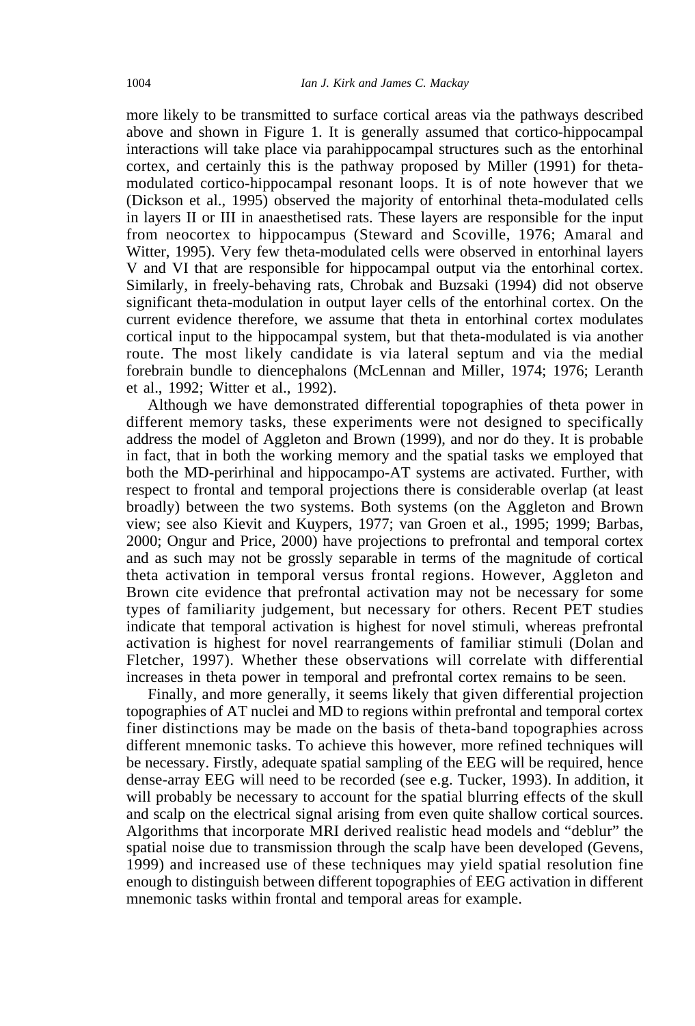more likely to be transmitted to surface cortical areas via the pathways described above and shown in Figure 1. It is generally assumed that cortico-hippocampal interactions will take place via parahippocampal structures such as the entorhinal cortex, and certainly this is the pathway proposed by Miller (1991) for thetamodulated cortico-hippocampal resonant loops. It is of note however that we (Dickson et al., 1995) observed the majority of entorhinal theta-modulated cells in layers II or III in anaesthetised rats. These layers are responsible for the input from neocortex to hippocampus (Steward and Scoville, 1976; Amaral and Witter, 1995). Very few theta-modulated cells were observed in entorhinal layers V and VI that are responsible for hippocampal output via the entorhinal cortex. Similarly, in freely-behaving rats, Chrobak and Buzsaki (1994) did not observe significant theta-modulation in output layer cells of the entorhinal cortex. On the current evidence therefore, we assume that theta in entorhinal cortex modulates cortical input to the hippocampal system, but that theta-modulated is via another route. The most likely candidate is via lateral septum and via the medial forebrain bundle to diencephalons (McLennan and Miller, 1974; 1976; Leranth et al., 1992; Witter et al., 1992).

Although we have demonstrated differential topographies of theta power in different memory tasks, these experiments were not designed to specifically address the model of Aggleton and Brown (1999), and nor do they. It is probable in fact, that in both the working memory and the spatial tasks we employed that both the MD-perirhinal and hippocampo-AT systems are activated. Further, with respect to frontal and temporal projections there is considerable overlap (at least broadly) between the two systems. Both systems (on the Aggleton and Brown view; see also Kievit and Kuypers, 1977; van Groen et al., 1995; 1999; Barbas, 2000; Ongur and Price, 2000) have projections to prefrontal and temporal cortex and as such may not be grossly separable in terms of the magnitude of cortical theta activation in temporal versus frontal regions. However, Aggleton and Brown cite evidence that prefrontal activation may not be necessary for some types of familiarity judgement, but necessary for others. Recent PET studies indicate that temporal activation is highest for novel stimuli, whereas prefrontal activation is highest for novel rearrangements of familiar stimuli (Dolan and Fletcher, 1997). Whether these observations will correlate with differential increases in theta power in temporal and prefrontal cortex remains to be seen.

Finally, and more generally, it seems likely that given differential projection topographies of AT nuclei and MD to regions within prefrontal and temporal cortex finer distinctions may be made on the basis of theta-band topographies across different mnemonic tasks. To achieve this however, more refined techniques will be necessary. Firstly, adequate spatial sampling of the EEG will be required, hence dense-array EEG will need to be recorded (see e.g. Tucker, 1993). In addition, it will probably be necessary to account for the spatial blurring effects of the skull and scalp on the electrical signal arising from even quite shallow cortical sources. Algorithms that incorporate MRI derived realistic head models and "deblur" the spatial noise due to transmission through the scalp have been developed (Gevens, 1999) and increased use of these techniques may yield spatial resolution fine enough to distinguish between different topographies of EEG activation in different mnemonic tasks within frontal and temporal areas for example.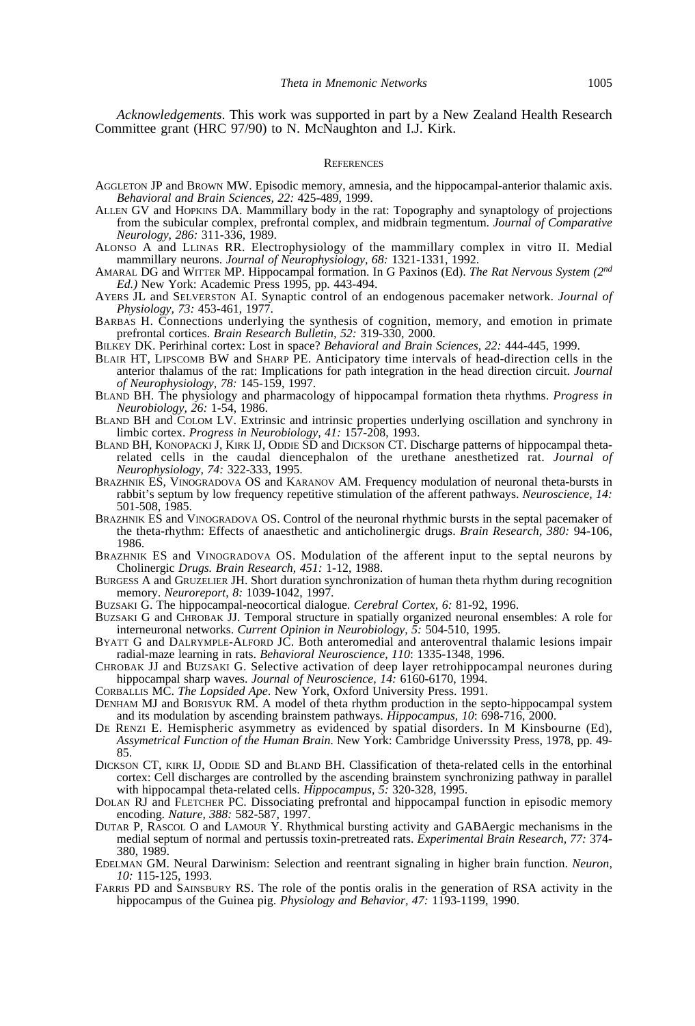*Acknowledgements*. This work was supported in part by a New Zealand Health Research Committee grant (HRC 97/90) to N. McNaughton and I.J. Kirk.

#### **REFERENCES**

- AGGLETON JP and BROWN MW. Episodic memory, amnesia, and the hippocampal-anterior thalamic axis. *Behavioral and Brain Sciences, 22:* 425-489, 1999.
- ALLEN GV and HOPKINS DA. Mammillary body in the rat: Topography and synaptology of projections from the subicular complex, prefrontal complex, and midbrain tegmentum. *Journal of Comparative Neurology*, *286:* 311-336, 1989.
- ALONSO A and LLINAS RR. Electrophysiology of the mammillary complex in vitro II. Medial mammillary neurons. *Journal of Neurophysiology, 68:* 1321-1331, 1992.
- AMARAL DG and WITTER MP. Hippocampal formation. In G Paxinos (Ed). *The Rat Nervous System (2nd Ed.)* New York: Academic Press 1995, pp. 443-494.
- AYERS JL and SELVERSTON AI. Synaptic control of an endogenous pacemaker network. *Journal of Physiology, 73:* 453-461, 1977.
- BARBAS H. Connections underlying the synthesis of cognition, memory, and emotion in primate prefrontal cortices. *Brain Research Bulletin, 52:* 319-330, 2000.
- BILKEY DK. Perirhinal cortex: Lost in space? *Behavioral and Brain Sciences, 22:* 444-445, 1999.
- BLAIR HT, LIPSCOMB BW and SHARP PE. Anticipatory time intervals of head-direction cells in the anterior thalamus of the rat: Implications for path integration in the head direction circuit. *Journal of Neurophysiology, 78:* 145-159, 1997.
- BLAND BH. The physiology and pharmacology of hippocampal formation theta rhythms. *Progress in Neurobiology, 26:* 1-54, 1986.
- BLAND BH and COLOM LV. Extrinsic and intrinsic properties underlying oscillation and synchrony in limbic cortex. *Progress in Neurobiology, 41:* 157-208, 1993.
- BLAND BH, KONOPACKI J, KIRK IJ, ODDIE SD and DICKSON CT. Discharge patterns of hippocampal thetarelated cells in the caudal diencephalon of the urethane anesthetized rat. *Journal of Neurophysiology, 74:* 322-333, 1995.
- BRAZHNIK ES, VINOGRADOVA OS and KARANOV AM. Frequency modulation of neuronal theta-bursts in rabbit's septum by low frequency repetitive stimulation of the afferent pathways. *Neuroscience, 14:* 501-508, 1985.
- BRAZHNIK ES and VINOGRADOVA OS. Control of the neuronal rhythmic bursts in the septal pacemaker of the theta-rhythm: Effects of anaesthetic and anticholinergic drugs. *Brain Research, 380:* 94-106, 1986.
- BRAZHNIK ES and VINOGRADOVA OS. Modulation of the afferent input to the septal neurons by Cholinergic *Drugs. Brain Research, 451:* 1-12, 1988.
- BURGESS A and GRUZELIER JH. Short duration synchronization of human theta rhythm during recognition memory. *Neuroreport, 8:* 1039-1042, 1997.
- BUZSAKI G. The hippocampal-neocortical dialogue. *Cerebral Cortex, 6:* 81-92, 1996.
- BUZSAKI G and CHROBAK JJ. Temporal structure in spatially organized neuronal ensembles: A role for interneuronal networks. *Current Opinion in Neurobiology, 5:* 504-510, 1995.
- BYATT G and DALRYMPLE-ALFORD JC. Both anteromedial and anteroventral thalamic lesions impair radial-maze learning in rats. *Behavioral Neuroscience, 110*: 1335-1348, 1996.
- CHROBAK JJ and BUZSAKI G. Selective activation of deep layer retrohippocampal neurones during hippocampal sharp waves. *Journal of Neuroscience, 14:* 6160-6170, 1994.
- CORBALLIS MC. *The Lopsided Ape*. New York, Oxford University Press. 1991.
- DENHAM MJ and BORISYUK RM. A model of theta rhythm production in the septo-hippocampal system and its modulation by ascending brainstem pathways. *Hippocampus, 10*: 698-716, 2000.
- DE RENZI E. Hemispheric asymmetry as evidenced by spatial disorders. In M Kinsbourne (Ed), *Assymetrical Function of the Human Brain*. New York: Cambridge Universsity Press, 1978, pp. 49- 85.
- DICKSON CT, KIRK IJ, ODDIE SD and BLAND BH. Classification of theta-related cells in the entorhinal cortex: Cell discharges are controlled by the ascending brainstem synchronizing pathway in parallel with hippocampal theta-related cells. *Hippocampus, 5:* 320-328, 1995.
- DOLAN RJ and FLETCHER PC. Dissociating prefrontal and hippocampal function in episodic memory encoding. *Nature, 388:* 582-587, 1997.
- DUTAR P, RASCOL O and LAMOUR Y. Rhythmical bursting activity and GABAergic mechanisms in the medial septum of normal and pertussis toxin-pretreated rats. *Experimental Brain Research, 77:* 374- 380, 1989.
- EDELMAN GM. Neural Darwinism: Selection and reentrant signaling in higher brain function. *Neuron, 10:* 115-125, 1993.
- FARRIS PD and SAINSBURY RS. The role of the pontis oralis in the generation of RSA activity in the hippocampus of the Guinea pig. *Physiology and Behavior, 47:* 1193-1199, 1990.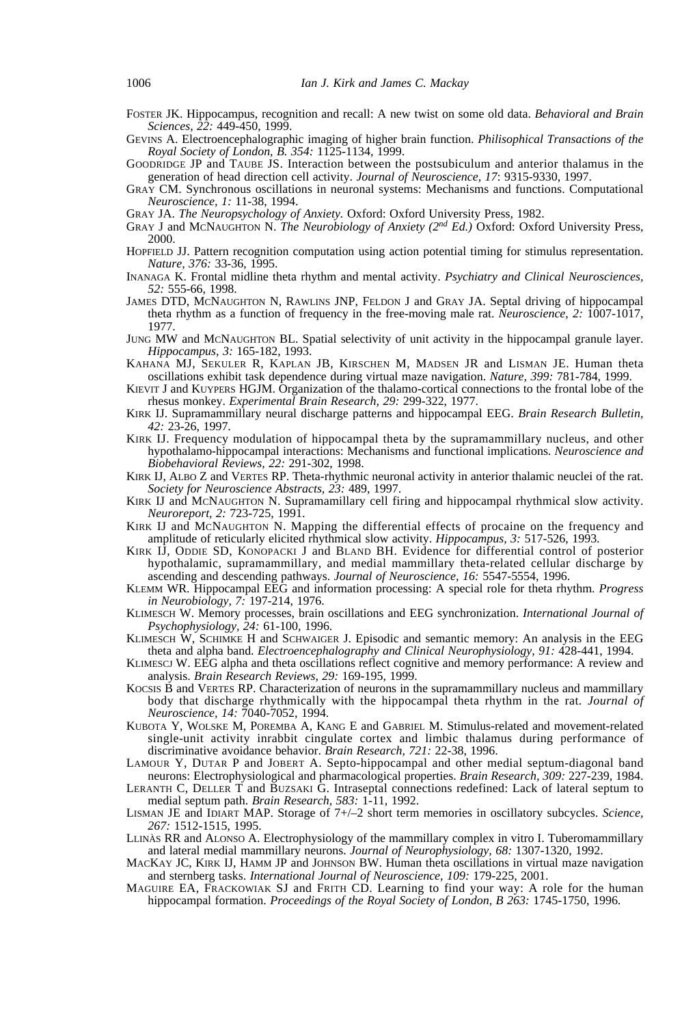- FOSTER JK. Hippocampus, recognition and recall: A new twist on some old data. *Behavioral and Brain Sciences, 22:* 449-450, 1999.
- GEVINS A. Electroencephalographic imaging of higher brain function. *Philisophical Transactions of the Royal Society of London, B. 354:* 1125-1134, 1999.
- GOODRIDGE JP and TAUBE JS. Interaction between the postsubiculum and anterior thalamus in the generation of head direction cell activity. *Journal of Neuroscience, 17*: 9315-9330, 1997.
- GRAY CM. Synchronous oscillations in neuronal systems: Mechanisms and functions. Computational *Neuroscience, 1:* 11-38, 1994.
- GRAY JA. *The Neuropsychology of Anxiety.* Oxford: Oxford University Press, 1982.
- GRAY J and MCNAUGHTON N. *The Neurobiology of Anxiety (2nd Ed.)* Oxford: Oxford University Press, 2000.
- HOPFIELD JJ. Pattern recognition computation using action potential timing for stimulus representation. *Nature, 376:* 33-36, 1995.
- INANAGA K. Frontal midline theta rhythm and mental activity. *Psychiatry and Clinical Neurosciences, 52:* 555-66, 1998.
- JAMES DTD, MCNAUGHTON N, RAWLINS JNP, FELDON J and GRAY JA. Septal driving of hippocampal theta rhythm as a function of frequency in the free-moving male rat. *Neuroscience, 2:* 1007-1017, 1977.
- JUNG MW and MCNAUGHTON BL. Spatial selectivity of unit activity in the hippocampal granule layer. *Hippocampus, 3:* 165-182, 1993.
- KAHANA MJ, SEKULER R, KAPLAN JB, KIRSCHEN M, MADSEN JR and LISMAN JE. Human theta oscillations exhibit task dependence during virtual maze navigation. *Nature, 399:* 781-784, 1999.
- KIEVIT J and KUYPERS HGJM. Organization of the thalamo-cortical connections to the frontal lobe of the rhesus monkey. *Experimental Brain Research, 29:* 299-322, 1977.
- KIRK IJ. Supramammillary neural discharge patterns and hippocampal EEG. *Brain Research Bulletin, 42:* 23-26, 1997.
- KIRK IJ. Frequency modulation of hippocampal theta by the supramammillary nucleus, and other hypothalamo-hippocampal interactions: Mechanisms and functional implications. *Neuroscience and Biobehavioral Reviews, 22:* 291-302, 1998.
- KIRK IJ, ALBO Z and VERTES RP. Theta-rhythmic neuronal activity in anterior thalamic neuclei of the rat. *Society for Neuroscience Abstracts, 23:* 489, 1997.
- KIRK IJ and MCNAUGHTON N. Supramamillary cell firing and hippocampal rhythmical slow activity. *Neuroreport, 2:* 723-725, 1991.
- KIRK IJ and MCNAUGHTON N. Mapping the differential effects of procaine on the frequency and amplitude of reticularly elicited rhythmical slow activity. *Hippocampus, 3:* 517-526, 1993.
- KIRK IJ, ODDIE SD, KONOPACKI J and BLAND BH. Evidence for differential control of posterior hypothalamic, supramammillary, and medial mammillary theta-related cellular discharge by ascending and descending pathways. *Journal of Neuroscience, 16:* 5547-5554, 1996.
- KLEMM WR. Hippocampal EEG and information processing: A special role for theta rhythm. *Progress in Neurobiology, 7:* 197-214, 1976.
- KLIMESCH W. Memory processes, brain oscillations and EEG synchronization. *International Journal of Psychophysiology, 24:* 61-100, 1996.
- KLIMESCH W, SCHIMKE H and SCHWAIGER J. Episodic and semantic memory: An analysis in the EEG theta and alpha band. *Electroencephalography and Clinical Neurophysiology, 91:* 428-441, 1994.
- KLIMESCJ W. EEG alpha and theta oscillations reflect cognitive and memory performance: A review and analysis. *Brain Research Reviews, 29:* 169-195, 1999.
- KOCSIS B and VERTES RP. Characterization of neurons in the supramammillary nucleus and mammillary body that discharge rhythmically with the hippocampal theta rhythm in the rat. *Journal of Neuroscience, 14:* 7040-7052, 1994.
- KUBOTA Y, WOLSKE M, POREMBA A, KANG E and GABRIEL M. Stimulus-related and movement-related single-unit activity inrabbit cingulate cortex and limbic thalamus during performance of discriminative avoidance behavior. *Brain Research, 721:* 22-38, 1996.
- LAMOUR Y, DUTAR P and JOBERT A. Septo-hippocampal and other medial septum-diagonal band neurons: Electrophysiological and pharmacological properties. *Brain Research, 309:* 227-239, 1984.
- LERANTH C, DELLER T and BUZSAKI G. Intraseptal connections redefined: Lack of lateral septum to medial septum path. *Brain Research, 583:* 1-11, 1992.
- LISMAN JE and IDIART MAP. Storage of 7+/–2 short term memories in oscillatory subcycles. *Science, 267:* 1512-1515, 1995.
- LLINÀS RR and ALONSO A. Electrophysiology of the mammillary complex in vitro I. Tuberomammillary and lateral medial mammillary neurons. *Journal of Neurophysiology, 68:* 1307-1320, 1992.
- MACKAY JC, KIRK IJ, HAMM JP and JOHNSON BW. Human theta oscillations in virtual maze navigation and sternberg tasks. *International Journal of Neuroscience, 109:* 179-225, 2001.
- MAGUIRE EA, FRACKOWIAK SJ and FRITH CD. Learning to find your way: A role for the human hippocampal formation. *Proceedings of the Royal Society of London, B 263:* 1745-1750, 1996.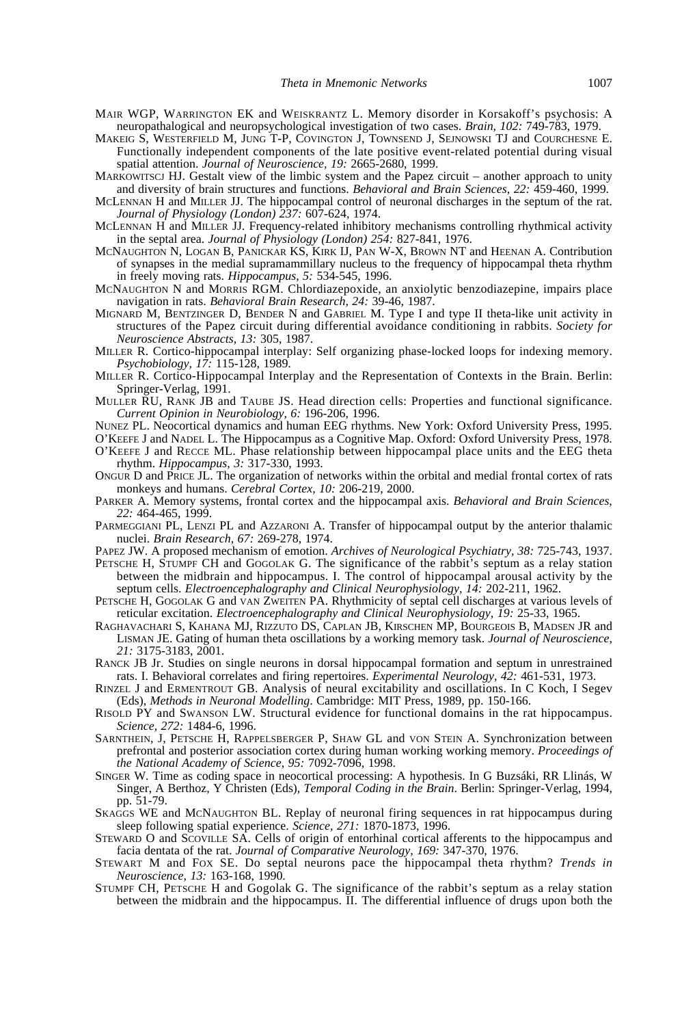- MAIR WGP, WARRINGTON EK and WEISKRANTZ L. Memory disorder in Korsakoff's psychosis: A neuropathalogical and neuropsychological investigation of two cases. *Brain, 102:* 749-783, 1979.
- MAKEIG S, WESTERFIELD M, JUNG T-P, COVINGTON J, TOWNSEND J, SEJNOWSKI TJ and COURCHESNE E. Functionally independent components of the late positive event-related potential during visual spatial attention. *Journal of Neuroscience, 19:* 2665-2680, 1999.
- MARKOWITSCJ HJ. Gestalt view of the limbic system and the Papez circuit another approach to unity and diversity of brain structures and functions. *Behavioral and Brain Sciences, 22:* 459-460, 1999.
- MCLENNAN H and MILLER JJ. The hippocampal control of neuronal discharges in the septum of the rat. *Journal of Physiology (London) 237:* 607-624, 1974.
- MCLENNAN H and MILLER JJ. Frequency-related inhibitory mechanisms controlling rhythmical activity in the septal area. *Journal of Physiology (London) 254:* 827-841, 1976.
- MCNAUGHTON N, LOGAN B, PANICKAR KS, KIRK IJ, PAN W-X, BROWN NT and HEENAN A. Contribution of synapses in the medial supramammillary nucleus to the frequency of hippocampal theta rhythm in freely moving rats. *Hippocampus, 5:* 534-545, 1996.
- MCNAUGHTON N and MORRIS RGM. Chlordiazepoxide, an anxiolytic benzodiazepine, impairs place navigation in rats. *Behavioral Brain Research, 24:* 39-46, 1987.
- MIGNARD M, BENTZINGER D, BENDER N and GABRIEL M. Type I and type II theta-like unit activity in structures of the Papez circuit during differential avoidance conditioning in rabbits. *Society for Neuroscience Abstracts, 13:* 305, 1987.
- MILLER R. Cortico-hippocampal interplay: Self organizing phase-locked loops for indexing memory. *Psychobiology, 17:* 115-128, 1989.
- MILLER R. Cortico-Hippocampal Interplay and the Representation of Contexts in the Brain. Berlin: Springer-Verlag, 1991.
- MULLER RU, RANK JB and TAUBE JS. Head direction cells: Properties and functional significance. *Current Opinion in Neurobiology, 6:* 196-206, 1996.
- NUNEZ PL. Neocortical dynamics and human EEG rhythms. New York: Oxford University Press, 1995.
- O'KEEFE J and NADEL L. The Hippocampus as a Cognitive Map. Oxford: Oxford University Press, 1978. O'KEEFE J and RECCE ML. Phase relationship between hippocampal place units and the EEG theta rhythm. *Hippocampus, 3:* 317-330, 1993.
- ONGUR D and PRICE JL. The organization of networks within the orbital and medial frontal cortex of rats monkeys and humans. *Cerebral Cortex, 10:* 206-219, 2000.
- PARKER A. Memory systems, frontal cortex and the hippocampal axis. *Behavioral and Brain Sciences, 22:* 464-465, 1999.
- PARMEGGIANI PL, LENZI PL and AZZARONI A. Transfer of hippocampal output by the anterior thalamic nuclei. *Brain Research, 67:* 269-278, 1974.
- PAPEZ JW. A proposed mechanism of emotion. *Archives of Neurological Psychiatry, 38:* 725-743, 1937. PETSCHE H, STUMPF CH and GOGOLAK G. The significance of the rabbit's septum as a relay station between the midbrain and hippocampus. I. The control of hippocampal arousal activity by the septum cells. *Electroencephalography and Clinical Neurophysiology, 14:* 202-211, 1962.
- PETSCHE H, GOGOLAK G and VAN ZWEITEN PA. Rhythmicity of septal cell discharges at various levels of reticular excitation. *Electroencephalography and Clinical Neurophysiology, 19:* 25-33, 1965.
- RAGHAVACHARI S, KAHANA MJ, RIZZUTO DS, CAPLAN JB, KIRSCHEN MP, BOURGEOIS B, MADSEN JR and LISMAN JE. Gating of human theta oscillations by a working memory task. *Journal of Neuroscience, 21:* 3175-3183, 2001.
- RANCK JB Jr. Studies on single neurons in dorsal hippocampal formation and septum in unrestrained rats. I. Behavioral correlates and firing repertoires. *Experimental Neurology, 42:* 461-531, 1973.
- RINZEL J and ERMENTROUT GB. Analysis of neural excitability and oscillations. In C Koch, I Segev (Eds), *Methods in Neuronal Modelling*. Cambridge: MIT Press, 1989, pp. 150-166.
- RISOLD PY and SWANSON LW. Structural evidence for functional domains in the rat hippocampus. *Science, 272:* 1484-6, 1996.
- SARNTHEIN, J, PETSCHE H, RAPPELSBERGER P, SHAW GL and VON STEIN A. Synchronization between prefrontal and posterior association cortex during human working working memory. *Proceedings of the National Academy of Science, 95:* 7092-7096, 1998.
- SINGER W. Time as coding space in neocortical processing: A hypothesis. In G Buzsáki, RR Llinás, W Singer, A Berthoz, Y Christen (Eds), *Temporal Coding in the Brain*. Berlin: Springer-Verlag, 1994, pp. 51-79.
- SKAGGS WE and MCNAUGHTON BL. Replay of neuronal firing sequences in rat hippocampus during sleep following spatial experience. *Science, 271:* 1870-1873, 1996.
- STEWARD O and SCOVILLE SA. Cells of origin of entorhinal cortical afferents to the hippocampus and facia dentata of the rat. *Journal of Comparative Neurology, 169:* 347-370, 1976.
- STEWART M and FOX SE. Do septal neurons pace the hippocampal theta rhythm? *Trends in Neuroscience, 13:* 163-168, 1990.
- STUMPF CH, PETSCHE H and Gogolak G. The significance of the rabbit's septum as a relay station between the midbrain and the hippocampus. II. The differential influence of drugs upon both the